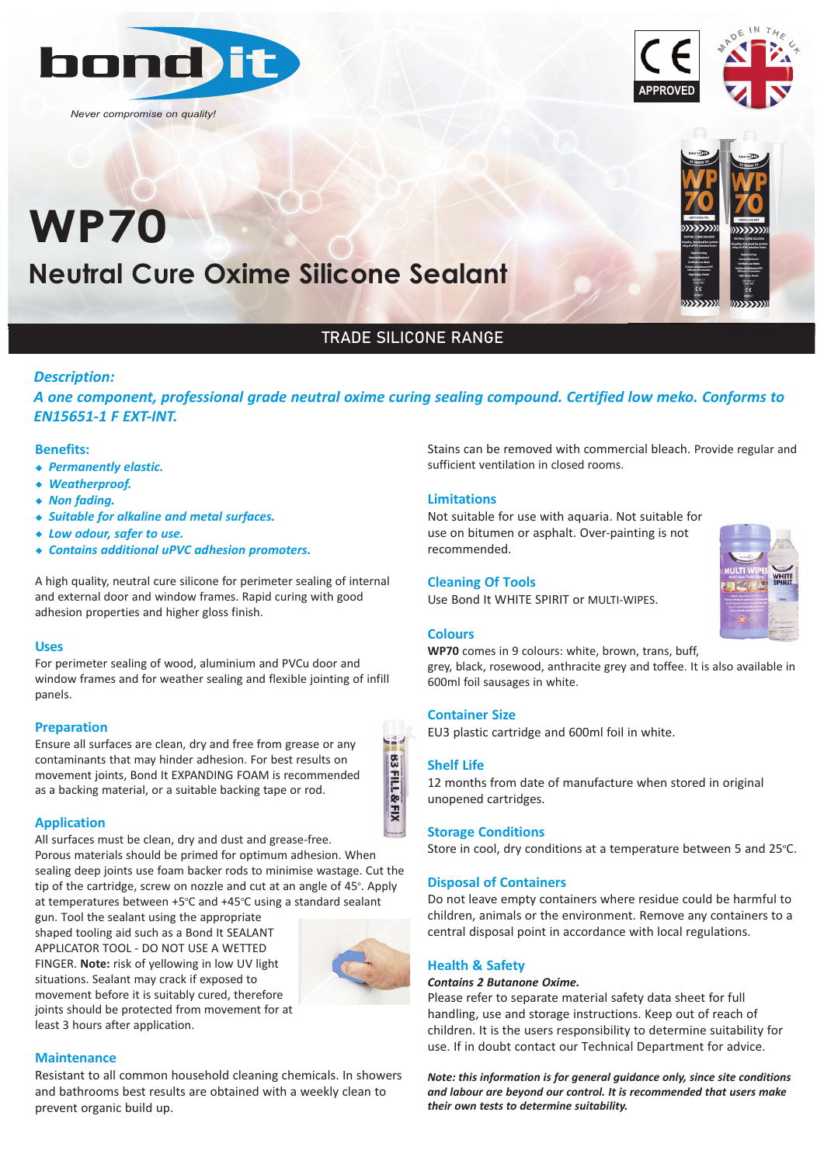

*Never compromise on quality!*

# **Neutral Cure Oxime Silicone Sealant WP70**





# TRADE SILICONE RANGE

# *Description:*

*A one component, professional grade neutral oxime curing sealing compound. Certified low meko. Conforms to EN15651‐1 F EXT‐INT.*

#### **Benefits:**

- w *Permanently elastic.*
- w *Weatherproof.*
- $\triangleleft$  *Non fading.*
- w *Suitable for alkaline and metal surfaces.*
- w *Low odour, safer to use.*
- w *Contains additional uPVC adhesion promoters.*

A high quality, neutral cure silicone for perimeter sealing of internal and external door and window frames. Rapid curing with good adhesion properties and higher gloss finish.

# **Uses**

For perimeter sealing of wood, aluminium and PVCu door and window frames and for weather sealing and flexible jointing of infill panels.

# **Preparation**

Ensure all surfaces are clean, dry and free from grease or any contaminants that may hinder adhesion. For best results on movement joints, Bond It EXPANDING FOAM is recommended as a backing material, or a suitable backing tape or rod.



All surfaces must be clean, dry and dust and grease-free. Porous materials should be primed for optimum adhesion. When sealing deep joints use foam backer rods to minimise wastage. Cut the tip of the cartridge, screw on nozzle and cut at an angle of 45°. Apply at temperatures between +5°C and +45°C using a standard sealant

gun. Tool the sealant using the appropriate shaped tooling aid such as a Bond It SEALANT APPLICATOR TOOL - DO NOT USE A WETTED FINGER. **Note:** risk of yellowing in low UV light situations. Sealant may crack if exposed to movement before it is suitably cured, therefore joints should be protected from movement for at least 3 hours after application.



#### **Maintenance**

Resistant to all common household cleaning chemicals. In showers and bathrooms best results are obtained with a weekly clean to prevent organic build up.

Stains can be removed with commercial bleach. Provide regular and sufficient ventilation in closed rooms.

# **Limitations**

Not suitable for use with aquaria. Not suitable for use on bitumen or asphalt. Over-painting is not recommended.

# **Cleaning Of Tools**

Use Bond It WHITE SPIRIT or MULTI-WIPES.

### **Colours**

**WP70** comes in 9 colours: white, brown, trans, buff, grey, black, rosewood, anthracite grey and toffee. It is also available in 600ml foil sausages in white.

# **Container Size**

EU3 plastic cartridge and 600ml foil in white.

#### **Shelf Life**

**B3FILL&FIX** 

12 months from date of manufacture when stored in original unopened cartridges.

#### **Storage Conditions**

Store in cool, dry conditions at a temperature between 5 and 25°C.

# **Disposal of Containers**

Do not leave empty containers where residue could be harmful to children, animals or the environment. Remove any containers to a central disposal point in accordance with local regulations.

# **Health & Safety**

#### *Contains 2 Butanone Oxime.*

Please refer to separate material safety data sheet for full handling, use and storage instructions. Keep out of reach of children. It is the users responsibility to determine suitability for use. If in doubt contact our Technical Department for advice.

*Note: this information is for general guidance only, since site conditions and labour are beyond our control. It is recommended that users make their own tests to determine suitability.*